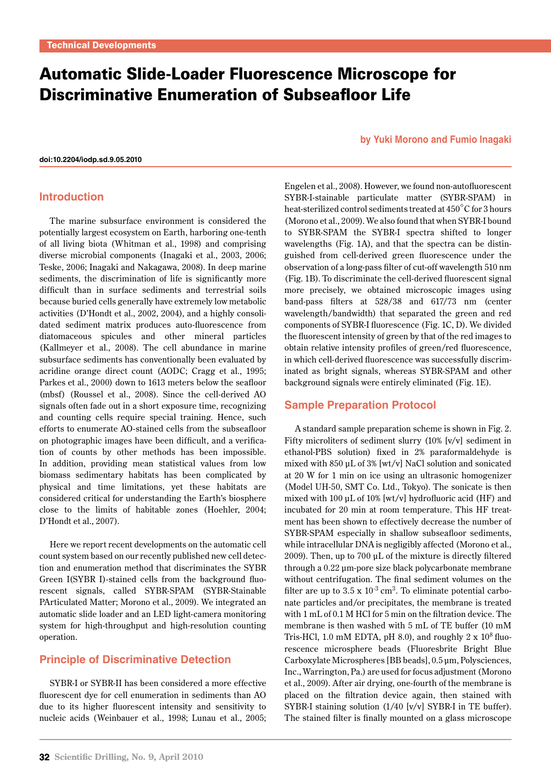# Automatic Slide-Loader Fluorescence Microscope for Discriminative Enumeration of Subseafloor Life

**[doi:10.2204/iodp.sd.9.05.2010](http://dx.doi.org/10.2204/iodp.sd.9.05.2010)**

#### **Introduction**

The marine subsurface environment is considered the potentially largest ecosystem on Earth, harboring one-tenth of all living biota (Whitman et al., 1998) and comprising diverse microbial components (Inagaki et al., 2003, 2006; Teske, 2006; Inagaki and Nakagawa, 2008). In deep marine sediments, the discrimination of life is significantly more difficult than in surface sediments and terrestrial soils because buried cells generally have extremely low metabolic activities (D'Hondt et al., 2002, 2004), and a highly consolidated sediment matrix produces auto-fluorescence from diatomaceous spicules and other mineral particles (Kallmeyer et al., 2008). The cell abundance in marine subsurface sediments has conventionally been evaluated by acridine orange direct count (AODC; Cragg et al., 1995; Parkes et al., 2000) down to 1613 meters below the seafloor (mbsf) (Roussel et al., 2008). Since the cell-derived AO signals often fade out in a short exposure time, recognizing and counting cells require special training. Hence, such efforts to enumerate AO-stained cells from the subseafloor on photographic images have been difficult, and a verification of counts by other methods has been impossible. In addition, providing mean statistical values from low biomass sedimentary habitats has been complicated by physical and time limitations, yet these habitats are considered critical for understanding the Earth's biosphere close to the limits of habitable zones (Hoehler, 2004; D'Hondt et al., 2007).

Here we report recent developments on the automatic cell count system based on our recently published new cell detection and enumeration method that discriminates the SYBR Green I(SYBR I)-stained cells from the background fluorescent signals, called SYBR-SPAM (SYBR-Stainable PArticulated Matter; Morono et al., 2009). We integrated an automatic slide loader and an LED light-camera monitoring system for high-throughput and high-resolution counting operation.

## **Principle of Discriminative Detection**

SYBR-I or SYBR-II has been considered a more effective fluorescent dye for cell enumeration in sediments than AO due to its higher fluorescent intensity and sensitivity to nucleic acids (Weinbauer et al., 1998; Lunau et al., 2005;

#### **by Yuki Morono and Fumio Inagaki**

Engelen et al., 2008). However, we found non-autofluorescent SYBR-I-stainable particulate matter (SYBR-SPAM) in heat-sterilized control sediments treated at 450°C for 3 hours (Morono et al., 2009). We also found that when SYBR-I bound to SYBR-SPAM the SYBR-I spectra shifted to longer wavelengths (Fig. 1A), and that the spectra can be distinguished from cell-derived green fluorescence under the observation of a long-pass filter of cut-off wavelength 510 nm (Fig. 1B). To discriminate the cell-derived fluorescent signal more precisely, we obtained microscopic images using band-pass filters at 528/38 and 617/73 nm (center wavelength/bandwidth) that separated the green and red components of SYBR-I fluorescence (Fig. 1C, D). We divided the fluorescent intensity of green by that of the red images to obtain relative intensity profiles of green/red fluorescence, in which cell-derived fluorescence was successfully discriminated as bright signals, whereas SYBR-SPAM and other background signals were entirely eliminated (Fig. 1E).

## **Sample Preparation Protocol**

A standard sample preparation scheme is shown in Fig. 2. Fifty microliters of sediment slurry (10% [v/v] sediment in ethanol-PBS solution) fixed in 2% paraformaldehyde is mixed with 850 μL of 3% [wt/v] NaCl solution and sonicated at 20 W for 1 min on ice using an ultrasonic homogenizer (Model UH-50, SMT Co. Ltd., Tokyo). The sonicate is then mixed with 100 μL of 10% [wt/v] hydrofluoric acid (HF) and incubated for 20 min at room temperature. This HF treatment has been shown to effectively decrease the number of SYBR-SPAM especially in shallow subseafloor sediments, while intracellular DNA is negligibly affected (Morono et al., 2009). Then, up to 700 μL of the mixture is directly filtered through a 0.22 μm-pore size black polycarbonate membrane without centrifugation. The final sediment volumes on the filter are up to  $3.5 \times 10^{-3}$  cm<sup>3</sup>. To eliminate potential carbonate particles and/or precipitates, the membrane is treated with 1 mL of 0.1 M HCl for 5 min on the filtration device. The membrane is then washed with 5 mL of TE buffer (10 mM Tris-HCl, 1.0 mM EDTA, pH 8.0), and roughly  $2 \times 10^8$  fluorescence microsphere beads (Fluoresbrite Bright Blue Carboxylate Microspheres [BB beads], 0.5 μm, Polysciences, Inc., Warrington, Pa.) are used for focus adjustment (Morono et al., 2009). After air drying, one-fourth of the membrane is placed on the filtration device again, then stained with SYBR-I staining solution (1/40 [v/v] SYBR-I in TE buffer). The stained filter is finally mounted on a glass microscope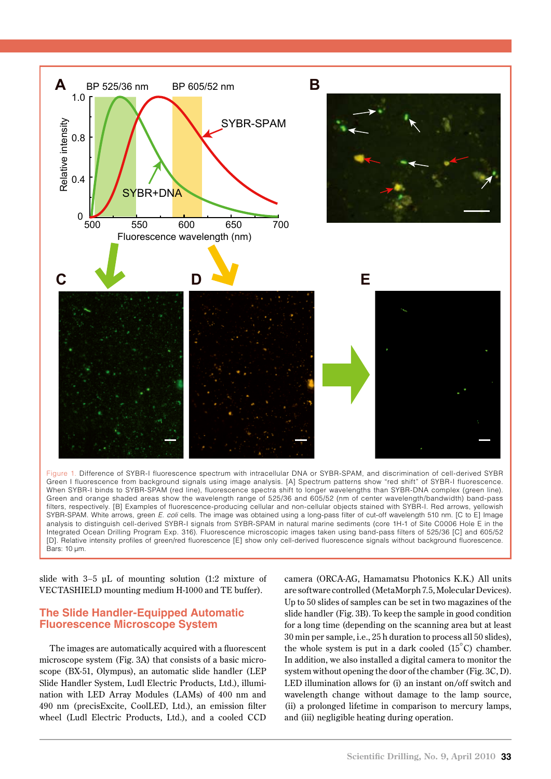

Figure 1. Difference of SYBR-I fluorescence spectrum with intracellular DNA or SYBR-SPAM, and discrimination of cell-derived SYBR Green I fluorescence from background signals using image analysis. [A] Spectrum patterns show "red shift" of SYBR-I fluorescence. When SYBR-I binds to SYBR-SPAM (red line), fluorescence spectra shift to longer wavelengths than SYBR-DNA complex (green line). Green and orange shaded areas show the wavelength range of 525/36 and 605/52 (nm of center wavelength/bandwidth) band-pass filters, respectively. [B] Examples of fluorescence-producing cellular and non-cellular objects stained with SYBR-I. Red arrows, yellowish SYBR-SPAM. White arrows, green *E. coli* cells. The image was obtained using a long-pass filter of cut-off wavelength 510 nm. [C to E] Image analysis to distinguish cell-derived SYBR-I signals from SYBR-SPAM in natural marine sediments (core 1H-1 of Site C0006 Hole E in the Integrated Ocean Drilling Program Exp. 316). Fluorescence microscopic images taken using band-pass filters of 525/36 [C] and 605/52 [D]. Relative intensity profiles of green/red fluorescence [E] show only cell-derived fluorescence signals without background fluorescence. Bars: 10 μm.

slide with 3–5 μL of mounting solution (1:2 mixture of VECTASHIELD mounting medium H-1000 and TE buffer).

## **The Slide Handler-Equipped Automatic Fluorescence Microscope System**

The images are automatically acquired with a fluorescent microscope system (Fig. 3A) that consists of a basic microscope (BX-51, Olympus), an automatic slide handler (LEP Slide Handler System, Ludl Electric Products, Ltd.), illumination with LED Array Modules (LAMs) of 400 nm and 490 nm (precisExcite, CoolLED, Ltd.), an emission filter wheel (Ludl Electric Products, Ltd.), and a cooled CCD

camera (ORCA-AG, Hamamatsu Photonics K.K.) All units are software controlled (MetaMorph 7.5, Molecular Devices). Up to 50 slides of samples can be set in two magazines of the slide handler (Fig. 3B). To keep the sample in good condition for a long time (depending on the scanning area but at least 30 min per sample, i.e., 25 h duration to process all 50 slides), the whole system is put in a dark cooled (15°C) chamber. In addition, we also installed a digital camera to monitor the system without opening the door of the chamber (Fig. 3C, D). LED illumination allows for (i) an instant on/off switch and wavelength change without damage to the lamp source, (ii) a prolonged lifetime in comparison to mercury lamps, and (iii) negligible heating during operation.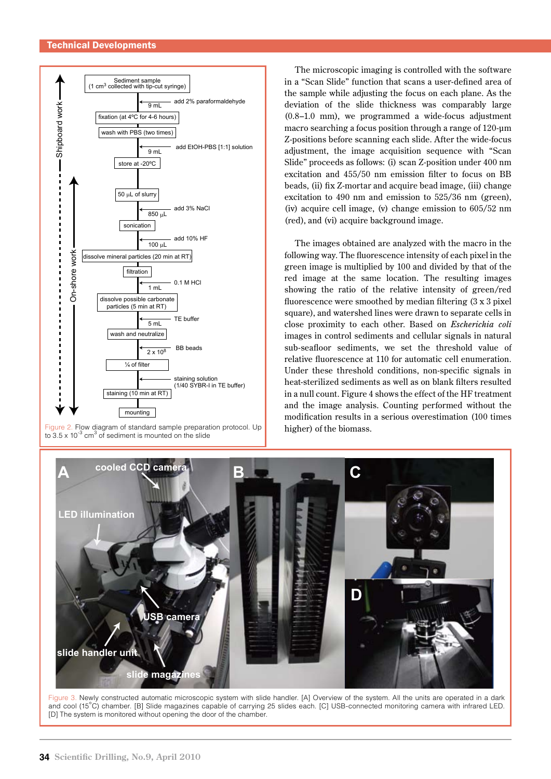

Figure 2. Flow diagram of standard sample preparation protocol. Up<br>to 3.5 x 10<sup>-3</sup> cm<sup>3</sup> of sediment is mounted on the slide

The microscopic imaging is controlled with the software in a "Scan Slide" function that scans a user-defined area of the sample while adjusting the focus on each plane. As the deviation of the slide thickness was comparably large (0.8–1.0 mm), we programmed a wide-focus adjustment macro searching a focus position through a range of 120-μm Z-positions before scanning each slide. After the wide-focus adjustment, the image acquisition sequence with "Scan Slide" proceeds as follows: (i) scan Z-position under 400 nm excitation and 455/50 nm emission filter to focus on BB beads, (ii) fix Z-mortar and acquire bead image, (iii) change excitation to 490 nm and emission to 525/36 nm (green), (iv) acquire cell image, (v) change emission to 605/52 nm (red), and (vi) acquire background image.

The images obtained are analyzed with the macro in the following way. The fluorescence intensity of each pixel in the green image is multiplied by 100 and divided by that of the red image at the same location. The resulting images showing the ratio of the relative intensity of green/red fluorescence were smoothed by median filtering (3 x 3 pixel square), and watershed lines were drawn to separate cells in close proximity to each other. Based on *Escherichia coli*  images in control sediments and cellular signals in natural sub-seafloor sediments, we set the threshold value of relative fluorescence at 110 for automatic cell enumeration. Under these threshold conditions, non-specific signals in heat-sterilized sediments as well as on blank filters resulted in a null count. Figure 4 shows the effect of the HF treatment and the image analysis. Counting performed without the modification results in a serious overestimation (100 times higher) of the biomass.



Figure 3. Newly constructed automatic microscopic system with slide handler. [A] Overview of the system. All the units are operated in a dark and cool (15°C) chamber. [B] Slide magazines capable of carrying 25 slides each. [C] USB-connected monitoring camera with infrared LED. [D] The system is monitored without opening the door of the chamber.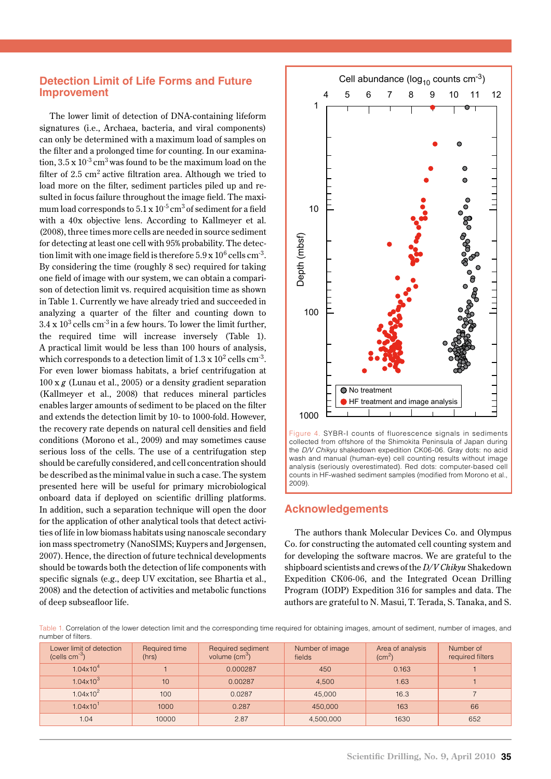## **Detection Limit of Life Forms and Future Improvement**

The lower limit of detection of DNA-containing lifeform signatures (i.e., Archaea, bacteria, and viral components) can only be determined with a maximum load of samples on the filter and a prolonged time for counting. In our examination,  $3.5 \times 10^{-3}$  cm<sup>3</sup> was found to be the maximum load on the filter of  $2.5 \text{ cm}^2$  active filtration area. Although we tried to load more on the filter, sediment particles piled up and resulted in focus failure throughout the image field. The maximum load corresponds to  $5.1 \times 10^{-5}$  cm<sup>3</sup> of sediment for a field with a 40x objective lens. According to Kallmeyer et al. (2008), three times more cells are needed in source sediment for detecting at least one cell with 95% probability. The detection limit with one image field is therefore  $5.9 \times 10^6$  cells cm<sup>-3</sup>. By considering the time (roughly 8 sec) required for taking one field of image with our system, we can obtain a comparison of detection limit vs. required acquisition time as shown in Table 1. Currently we have already tried and succeeded in analyzing a quarter of the filter and counting down to  $3.4 \times 10^3$  cells cm<sup>-3</sup> in a few hours. To lower the limit further, the required time will increase inversely (Table 1). A practical limit would be less than 100 hours of analysis, which corresponds to a detection limit of  $1.3 \times 10^2$  cells cm<sup>-3</sup>. For even lower biomass habitats, a brief centrifugation at 100 x *g* (Lunau et al., 2005) or a density gradient separation (Kallmeyer et al., 2008) that reduces mineral particles enables larger amounts of sediment to be placed on the filter and extends the detection limit by 10- to 1000-fold. However, the recovery rate depends on natural cell densities and field conditions (Morono et al., 2009) and may sometimes cause serious loss of the cells. The use of a centrifugation step should be carefully considered, and cell concentration should be described as the minimal value in such a case. The system presented here will be useful for primary microbiological onboard data if deployed on scientific drilling platforms. In addition, such a separation technique will open the door for the application of other analytical tools that detect activities of life in low biomass habitats using nanoscale secondary ion mass spectrometry (NanoSIMS; Kuypers and Jørgensen, 2007). Hence, the direction of future technical developments should be towards both the detection of life components with specific signals (e.g., deep UV excitation, see Bhartia et al., 2008) and the detection of activities and metabolic functions of deep subseafloor life.



Figure 4. SYBR-I counts of fluorescence signals in sediments collected from offshore of the Shimokita Peninsula of Japan during the *D/V Chikyu* shakedown expedition CK06-06. Gray dots: no acid wash and manual (human-eye) cell counting results without image analysis (seriously overestimated). Red dots: computer-based cell counts in HF-washed sediment samples (modified from Morono et al., 2009).

## **Acknowledgements**

The authors thank Molecular Devices Co. and Olympus Co. for constructing the automated cell counting system and for developing the software macros. We are grateful to the shipboard scientists and crews of the *D/V Chikyu* Shakedown Expedition CK06-06, and the Integrated Ocean Drilling Program (IODP) Expedition 316 for samples and data. The authors are grateful to N. Masui, T. Terada, S. Tanaka, and S.

Table 1. Correlation of the lower detection limit and the corresponding time required for obtaining images, amount of sediment, number of images, and number of filters.

| Lower limit of detection<br>(cells $cm^{-3}$ ) | Required time<br>(hrs) | Required sediment<br>volume $\text{(cm}^3)$ | Number of image<br>fields | Area of analysis<br>$\rm (cm^2)$ | Number of<br>required filters |
|------------------------------------------------|------------------------|---------------------------------------------|---------------------------|----------------------------------|-------------------------------|
| $1.04\times10^{4}$                             |                        | 0.000287                                    | 450                       | 0.163                            |                               |
| $1.04 \times 10^{3}$                           | 10                     | 0.00287                                     | 4.500                     | 1.63                             |                               |
| $1.04 \times 10^{2}$                           | 100                    | 0.0287                                      | 45,000                    | 16.3                             |                               |
| $1.04 \times 10^{1}$                           | 1000                   | 0.287                                       | 450,000                   | 163                              | 66                            |
| 1.04                                           | 10000                  | 2.87                                        | 4,500,000                 | 1630                             | 652                           |